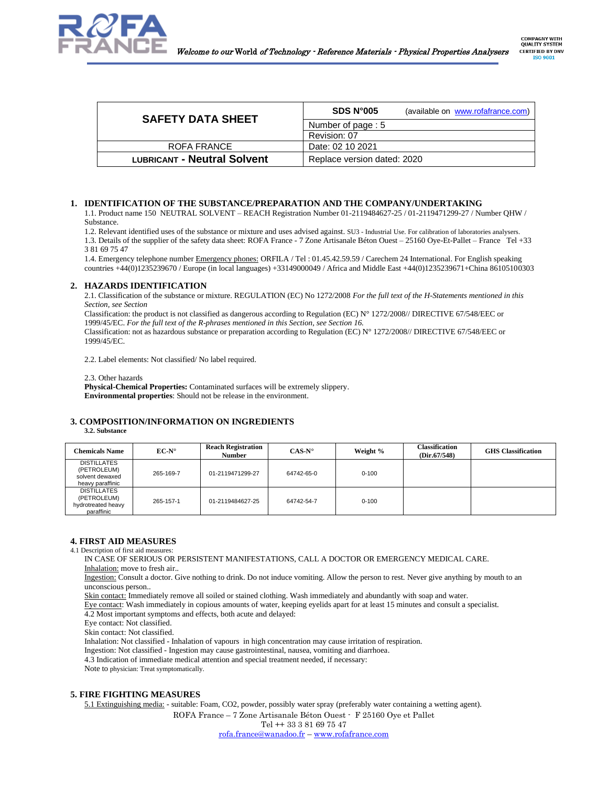

| <b>SAFETY DATA SHEET</b>           | SDS N <sup>o</sup> 005<br>(available on www.rofafrance.com) |
|------------------------------------|-------------------------------------------------------------|
|                                    | Number of page: 5                                           |
|                                    | Revision: 07                                                |
| ROFA FRANCE                        | Date: 02 10 2021                                            |
| <b>LUBRICANT - Neutral Solvent</b> | Replace version dated: 2020                                 |

# **1. IDENTIFICATION OF THE SUBSTANCE/PREPARATION AND THE COMPANY/UNDERTAKING**

1.1. Product name 150 NEUTRAL SOLVENT – REACH Registration Number 01-2119484627-25 / 01-2119471299-27 / Number QHW / Substance.

1.2. Relevant identified uses of the substance or mixture and uses advised against. SU3 - Industrial Use. For calibration of laboratories analysers. 1.3. Details of the supplier of the safety data sheet: ROFA France - 7 Zone Artisanale Béton Ouest – 25160 Oye-Et-Pallet – France Tel +33 3 81 69 75 47

1.4. Emergency telephone number Emergency phones: ORFILA / Tel : 01.45.42.59.59 / Carechem 24 International. For English speaking countries +44(0)1235239670 / Europe (in local languages) +33149000049 / Africa and Middle East +44(0)1235239671+China 86105100303

# **2. HAZARDS IDENTIFICATION**

2.1. Classification of the substance or mixture. REGULATION (EC) No 1272/2008 *For the full text of the H-Statements mentioned in this Section, see Section* 

Classification: the product is not classified as dangerous according to Regulation (EC)  $N^{\circ}$  1272/2008// DIRECTIVE 67/548/EEC or 1999/45/EC. *For the full text of the R-phrases mentioned in this Section, see Section 16.*

Classification: not as hazardous substance or preparation according to Regulation (EC) N° 1272/2008// DIRECTIVE 67/548/EEC or 1999/45/EC.

2.2. Label elements: Not classified/ No label required.

2.3. Other hazards

**Physical-Chemical Properties:** Contaminated surfaces will be extremely slippery. **Environmental properties**: Should not be release in the environment.

# **3. COMPOSITION/INFORMATION ON INGREDIENTS**

**3.2. Substance**

| Chemicals Name                                                           | $EC-N^{\circ}$ | <b>Reach Registration</b><br><b>Number</b> | $CAS-N^{\circ}$ | Weight %  | <b>Classification</b><br>(Dir.67/548) | <b>GHS</b> Classification |
|--------------------------------------------------------------------------|----------------|--------------------------------------------|-----------------|-----------|---------------------------------------|---------------------------|
| <b>DISTILLATES</b><br>(PETROLEUM)<br>solvent dewaxed<br>heavy paraffinic | 265-169-7      | 01-2119471299-27                           | 64742-65-0      | $0 - 100$ |                                       |                           |
| <b>DISTILLATES</b><br>(PETROLEUM)<br>hydrotreated heavy<br>paraffinic    | 265-157-1      | 01-2119484627-25                           | 64742-54-7      | $0 - 100$ |                                       |                           |

# **4. FIRST AID MEASURES**

4.1 Description of first aid measures:

IN CASE OF SERIOUS OR PERSISTENT MANIFESTATIONS, CALL A DOCTOR OR EMERGENCY MEDICAL CARE. Inhalation: move to fresh air..

Ingestion: Consult a doctor. Give nothing to drink. Do not induce vomiting. Allow the person to rest. Never give anything by mouth to an unconscious person..

Skin contact: Immediately remove all soiled or stained clothing. Wash immediately and abundantly with soap and water.

Eye contact: Wash immediately in copious amounts of water, keeping eyelids apart for at least 15 minutes and consult a specialist.

4.2 Most important symptoms and effects, both acute and delayed:

Eye contact: Not classified.

Skin contact: Not classified.

Inhalation: Not classified - Inhalation of vapours in high concentration may cause irritation of respiration.

Ingestion: Not classified - Ingestion may cause gastrointestinal, nausea, vomiting and diarrhoea.

4.3 Indication of immediate medical attention and special treatment needed, if necessary:

Note to physician: Treat symptomatically.

# **5. FIRE FIGHTING MEASURES**

5.1 Extinguishing media: - suitable: Foam, CO2, powder, possibly water spray (preferably water containing a wetting agent).

ROFA France – 7 Zone Artisanale Béton Ouest - F 25160 Oye et Pallet

Tel ++ 33 3 81 69 75 47

[rofa.france@wanadoo.fr](mailto:rofa.france@wanadoo.fr) – [www.rofafrance.com](http://www.rofafrance.com/)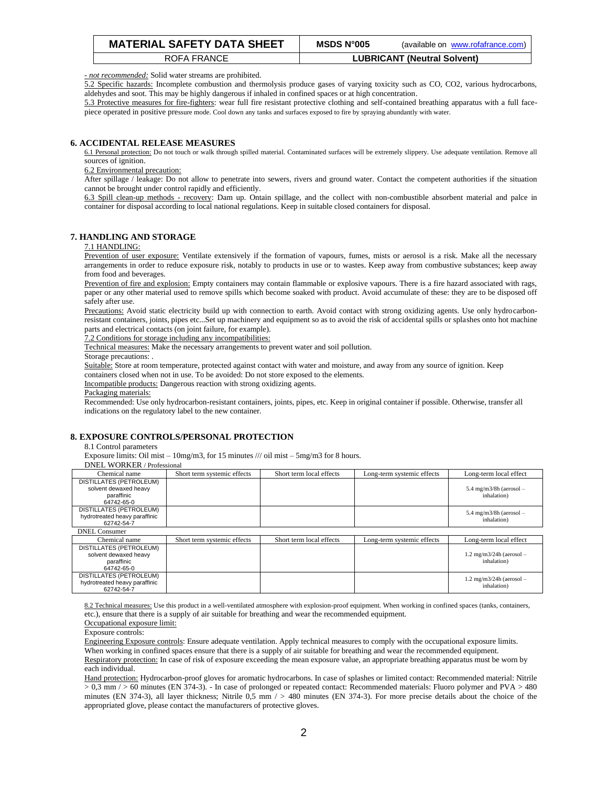| <b>MATERIAL SAFETY DATA SHEET</b> | MSDS N°005 | (available on www.rofafrance.com)  |
|-----------------------------------|------------|------------------------------------|
| ROFA FRANCE                       |            | <b>LUBRICANT (Neutral Solvent)</b> |

*- not recommended:* Solid water streams are prohibited.

5.2 Specific hazards: Incomplete combustion and thermolysis produce gases of varying toxicity such as CO, CO2, various hydrocarbons, aldehydes and soot. This may be highly dangerous if inhaled in confined spaces or at high concentration.

5.3 Protective measures for fire-fighters: wear full fire resistant protective clothing and self-contained breathing apparatus with a full facepiece operated in positive pressure mode. Cool down any tanks and surfaces exposed to fire by spraying abundantly with water.

# **6. ACCIDENTAL RELEASE MEASURES**

6.1 Personal protection: Do not touch or walk through spilled material. Contaminated surfaces will be extremely slippery. Use adequate ventilation. Remove all sources of ignition.

6.2 Environmental precaution:

After spillage / leakage: Do not allow to penetrate into sewers, rivers and ground water. Contact the competent authorities if the situation cannot be brought under control rapidly and efficiently.

6.3 Spill clean-up methods - recovery: Dam up. Ontain spillage, and the collect with non-combustible absorbent material and palce in container for disposal according to local national regulations. Keep in suitable closed containers for disposal.

# **7. HANDLING AND STORAGE**

### 7.1 HANDLING:

Prevention of user exposure: Ventilate extensively if the formation of vapours, fumes, mists or aerosol is a risk. Make all the necessary arrangements in order to reduce exposure risk, notably to products in use or to wastes. Keep away from combustive substances; keep away from food and beverages.

Prevention of fire and explosion: Empty containers may contain flammable or explosive vapours. There is a fire hazard associated with rags, paper or any other material used to remove spills which become soaked with product. Avoid accumulate of these: they are to be disposed off safely after use.

Precautions: Avoid static electricity build up with connection to earth. Avoid contact with strong oxidizing agents. Use only hydrocarbonresistant containers, joints, pipes etc...Set up machinery and equipment so as to avoid the risk of accidental spills or splashes onto hot machine parts and electrical contacts (on joint failure, for example).

7.2 Conditions for storage including any incompatibilities:

Technical measures: Make the necessary arrangements to prevent water and soil pollution.

Storage precautions: .

Suitable: Store at room temperature, protected against contact with water and moisture, and away from any source of ignition. Keep containers closed when not in use. To be avoided: Do not store exposed to the elements.

Incompatible products: Dangerous reaction with strong oxidizing agents.

Packaging materials:

Recommended: Use only hydrocarbon-resistant containers, joints, pipes, etc. Keep in original container if possible. Otherwise, transfer all indications on the regulatory label to the new container.

# **8. EXPOSURE CONTROLS/PERSONAL PROTECTION**

#### 8.1 Control parameters

Exposure limits: Oil mist –  $10mg/m3$ , for 15 minutes /// oil mist –  $5mg/m3$  for 8 hours.

DNEL WORKER / Professional

| Chemical name                                                                | Short term systemic effects | Short term local effects | Long-term systemic effects | Long-term local effect                               |
|------------------------------------------------------------------------------|-----------------------------|--------------------------|----------------------------|------------------------------------------------------|
| DISTILLATES (PETROLEUM)<br>solvent dewaxed heavy<br>paraffinic<br>64742-65-0 |                             |                          |                            | $5.4$ mg/m $3/8h$ (aerosol -<br>inhalation)          |
| DISTILLATES (PETROLEUM)<br>hydrotreated heavy paraffinic<br>62742-54-7       |                             |                          |                            | $5.4 \text{ mg/m}3/8h$ (aerosol -<br>inhalation)     |
| <b>DNEL</b> Consumer                                                         |                             |                          |                            |                                                      |
| Chemical name                                                                | Short term systemic effects | Short term local effects | Long-term systemic effects | Long-term local effect                               |
| DISTILLATES (PETROLEUM)<br>solvent dewaxed heavy<br>paraffinic<br>64742-65-0 |                             |                          |                            | $1.2 \text{ mg/m}$ $3/24h$ (aerosol –<br>inhalation) |
| DISTILLATES (PETROLEUM)<br>hydrotreated heavy paraffinic<br>62742-54-7       |                             |                          |                            | $1.2 \text{ mg/m}$ $3/24h$ (aerosol –<br>inhalation) |

8.2 Technical measures: Use this product in a well-ventilated atmosphere with explosion-proof equipment. When working in confined spaces (tanks, containers, etc.), ensure that there is a supply of air suitable for breathing and wear the recommended equipment.

Occupational exposure limit:

Exposure controls:

Engineering Exposure controls: Ensure adequate ventilation. Apply technical measures to comply with the occupational exposure limits. When working in confined spaces ensure that there is a supply of air suitable for breathing and wear the recommended equipment. Respiratory protection: In case of risk of exposure exceeding the mean exposure value, an appropriate breathing apparatus must be worn by each individual.

Hand protection: Hydrocarbon-proof gloves for aromatic hydrocarbons. In case of splashes or limited contact: Recommended material: Nitrile > 0,3 mm / > 60 minutes (EN 374-3). - In case of prolonged or repeated contact: Recommended materials: Fluoro polymer and PVA > 480 minutes (EN 374-3), all layer thickness; Nitrile  $0,5$  mm  $/ > 480$  minutes (EN 374-3). For more precise details about the choice of the appropriated glove, please contact the manufacturers of protective gloves.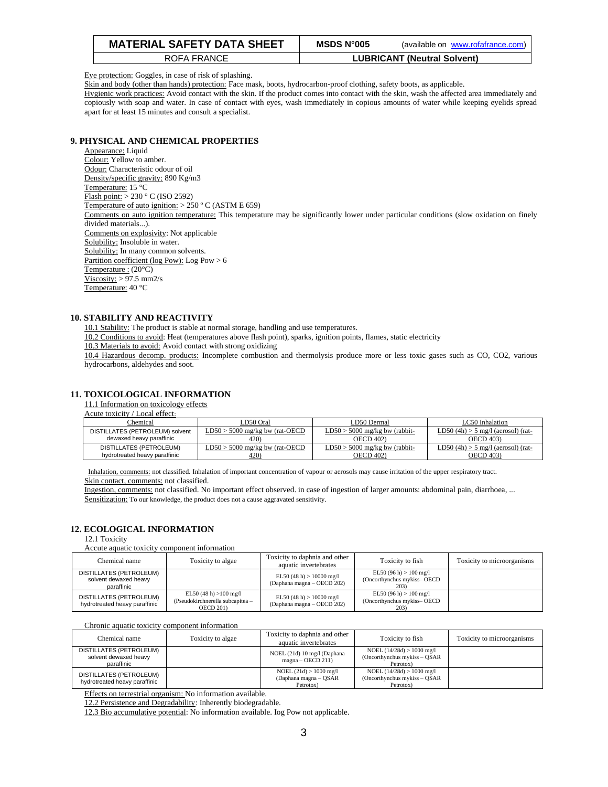| <b>MATERIAL SAFETY DATA SHEET</b> | <b>MSDS N°005</b> | (available on www.rofafrance.com)  |
|-----------------------------------|-------------------|------------------------------------|
| ROFA FRANCE                       |                   | <b>LUBRICANT (Neutral Solvent)</b> |

Eye protection: Goggles, in case of risk of splashing.

Skin and body (other than hands) protection: Face mask, boots, hydrocarbon-proof clothing, safety boots, as applicable.

Hygienic work practices: Avoid contact with the skin. If the product comes into contact with the skin, wash the affected area immediately and copiously with soap and water. In case of contact with eyes, wash immediately in copious amounts of water while keeping eyelids spread apart for at least 15 minutes and consult a specialist.

# **9. PHYSICAL AND CHEMICAL PROPERTIES**

Appearance: Liquid Colour: Yellow to amber. Odour: Characteristic odour of oil Density/specific gravity: 890 Kg/m3 Temperature: 15 °C Flash point: > 230 ° C (ISO 2592) Temperature of auto ignition: > 250 º C (ASTM E 659) Comments on auto ignition temperature: This temperature may be significantly lower under particular conditions (slow oxidation on finely divided materials...). Comments on explosivity: Not applicable Solubility: Insoluble in water. Solubility: In many common solvents. Partition coefficient (log Pow): Log Pow > 6 Temperature : (20°C)  $Viscosity:$  > 97.5 mm2/s Temperature: 40 °C

# **10. STABILITY AND REACTIVITY**

10.1 Stability: The product is stable at normal storage, handling and use temperatures.

10.2 Conditions to avoid: Heat (temperatures above flash point), sparks, ignition points, flames, static electricity

10.3 Materials to avoid: Avoid contact with strong oxidizing

10.4 Hazardous decomp. products: Incomplete combustion and thermolysis produce more or less toxic gases such as CO, CO2, various hydrocarbons, aldehydes and soot.

# **11. TOXICOLOGICAL INFORMATION**

11.1 Information on toxicology effects

| Acute toxicity / Local effect: |  |
|--------------------------------|--|
| Chemical                       |  |

| Chemical                                                 | LD50 Oral                                | D50 Dermal                                   | LC50 Inhalation                                         |
|----------------------------------------------------------|------------------------------------------|----------------------------------------------|---------------------------------------------------------|
| DISTILLATES (PETROLEUM) solvent                          | $LD50 > 5000$ mg/kg bw (rat-OECD         | $LD50 > 5000$ mg/kg bw (rabbit-              | LD50 $(4h) > 5$ mg/l (aerosol) (rat-                    |
| dewaxed heavy paraffinic                                 | 420)                                     | OECD 402)                                    | OECD 403)                                               |
| DISTILLATES (PETROLEUM)<br>hydrotreated heavy paraffinic | $LD50 > 5000$ mg/kg bw (rat-OECD<br>42O) | $LD50 > 5000$ mg/kg bw (rabbit-<br>OECD 402) | $LD50(4h) > 5$ mg/l (aerosol) (rat-<br><b>OECD 403)</b> |
|                                                          |                                          |                                              |                                                         |

Inhalation, comments: not classified. Inhalation of important concentration of vapour or aerosols may cause irritation of the upper respiratory tract. Skin contact, comments: not classified.

Ingestion, comments: not classified. No important effect observed. in case of ingestion of larger amounts: abdominal pain, diarrhoea, ... Sensitization: To our knowledge, the product does not a cause aggravated sensitivity.

# **12. ECOLOGICAL INFORMATION**

12.1 Toxicity

Accute aquatic toxicity component information

| Chemical name                                                  | Toxicity to algae                                                               | Toxicity to daphnia and other<br>aquatic invertebrates   | Toxicity to fish                                               | Toxicity to microorganisms |
|----------------------------------------------------------------|---------------------------------------------------------------------------------|----------------------------------------------------------|----------------------------------------------------------------|----------------------------|
| DISTILLATES (PETROLEUM)<br>solvent dewaxed heavy<br>paraffinic |                                                                                 | EL50 (48 h) $> 10000$ mg/l<br>(Daphana magna - OECD 202) | EL50 (96 h) $> 100$ mg/l<br>(Oncorthynchus mykiss-OECD<br>203) |                            |
| DISTILLATES (PETROLEUM)<br>hydrotreated heavy paraffinic       | EL50 (48 h) $>100$ mg/l<br>(Pseudokirchnerella subcapitea -<br><b>OECD 201)</b> | EL50 (48 h) $> 10000$ mg/l<br>(Daphana magna - OECD 202) | EL50 (96 h) $> 100$ mg/l<br>(Oncorthynchus mykiss-OECD<br>203) |                            |

#### Chronic aquatic toxicity component information

| Chemical name                                                  | Toxicity to algae | Toxicity to daphnia and other<br>aquatic invertebrates         | Toxicity to fish                                                           | Toxicity to microorganisms |
|----------------------------------------------------------------|-------------------|----------------------------------------------------------------|----------------------------------------------------------------------------|----------------------------|
| DISTILLATES (PETROLEUM)<br>solvent dewaxed heavy<br>paraffinic |                   | NOEL (21d) 10 mg/l (Daphana<br>$magna - OECD$ 211)             | NOEL $(14/28d) > 1000$ mg/l<br>(Oncorthynchus mykiss $-$ OSAR<br>Petrotox) |                            |
| DISTILLATES (PETROLEUM)<br>hydrotreated heavy paraffinic       |                   | NOEL $(21d) > 1000$ mg/l<br>(Daphana magna - QSAR<br>Petrotox) | NOEL $(14/28d) > 1000$ mg/l<br>(Oncorthynchus mykiss $-$ OSAR<br>Petrotox) |                            |

Effects on terrestrial organism: No information available.

12.2 Persistence and Degradability: Inherently biodegradable.

12.3 Bio accumulative potential: No information available. Iog Pow not applicable.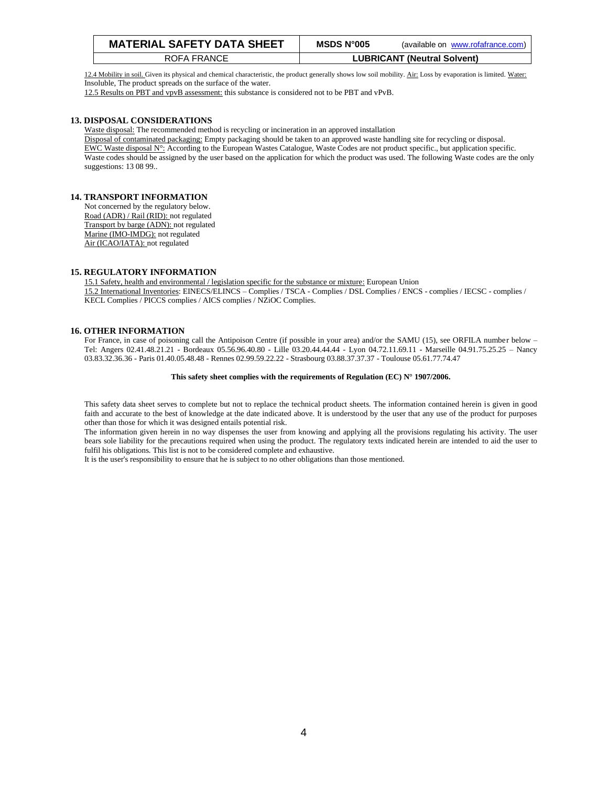| <b>MATERIAL SAFETY DATA SHEET</b> | MSDS N°005 | (available on www.rofafrance.com)  |
|-----------------------------------|------------|------------------------------------|
| ROFA FRANCE                       |            | <b>LUBRICANT (Neutral Solvent)</b> |

12.4 Mobility in soil. Given its physical and chemical characteristic, the product generally shows low soil mobility. Air: Loss by evaporation is limited. Water: Insoluble, The product spreads on the surface of the water.

12.5 Results on PBT and vpvB assessment: this substance is considered not to be PBT and vPvB.

# **13. DISPOSAL CONSIDERATIONS**

Waste disposal: The recommended method is recycling or incineration in an approved installation Disposal of contaminated packaging: Empty packaging should be taken to an approved waste handling site for recycling or disposal. EWC Waste disposal N°: According to the European Wastes Catalogue, Waste Codes are not product specific., but application specific.

Waste codes should be assigned by the user based on the application for which the product was used. The following Waste codes are the only suggestions: 13 08 99..

# **14. TRANSPORT INFORMATION**

Not concerned by the regulatory below. Road (ADR) / Rail (RID): not regulated Transport by barge (ADN): not regulated Marine (IMO-IMDG): not regulated Air (ICAO/IATA): not regulated

# **15. REGULATORY INFORMATION**

15.1 Safety, health and environmental / legislation specific for the substance or mixture: European Union 15.2 International Inventories: EINECS/ELINCS – Complies / TSCA - Complies / DSL Complies / ENCS - complies / IECSC - complies / KECL Complies / PICCS complies / AICS complies / NZiOC Complies.

# **16. OTHER INFORMATION**

For France, in case of poisoning call the Antipoison Centre (if possible in your area) and/or the SAMU (15), see ORFILA number below – Tel: Angers 02.41.48.21.21 - Bordeaux 05.56.96.40.80 - Lille 03.20.44.44.44 - Lyon 04.72.11.69.11 - Marseille 04.91.75.25.25 – Nancy 03.83.32.36.36 - Paris 01.40.05.48.48 - Rennes 02.99.59.22.22 - Strasbourg 03.88.37.37.37 - Toulouse 05.61.77.74.47

#### **This safety sheet complies with the requirements of Regulation (EC) N° 1907/2006.**

This safety data sheet serves to complete but not to replace the technical product sheets. The information contained herein is given in good faith and accurate to the best of knowledge at the date indicated above. It is understood by the user that any use of the product for purposes other than those for which it was designed entails potential risk.

The information given herein in no way dispenses the user from knowing and applying all the provisions regulating his activity. The user bears sole liability for the precautions required when using the product. The regulatory texts indicated herein are intended to aid the user to fulfil his obligations. This list is not to be considered complete and exhaustive.

It is the user's responsibility to ensure that he is subject to no other obligations than those mentioned.